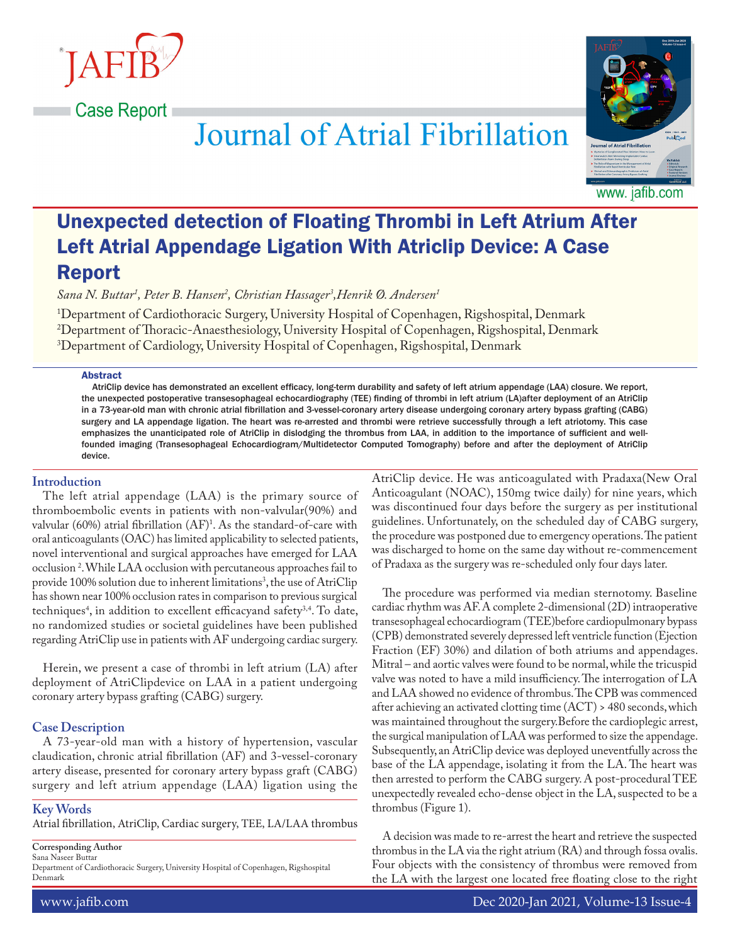Case Report



# **Journal of Atrial Fibrillation**

www. jafib.com

# Unexpected detection of Floating Thrombi in Left Atrium After Left Atrial Appendage Ligation With Atriclip Device: A Case Report

*Sana N. Buttar1 , Peter B. Hansen2 , Christian Hassager3 ,Henrik Ø. Andersen1*

1 Department of Cardiothoracic Surgery, University Hospital of Copenhagen, Rigshospital, Denmark 2 Department of Thoracic-Anaesthesiology, University Hospital of Copenhagen, Rigshospital, Denmark 3 Department of Cardiology, University Hospital of Copenhagen, Rigshospital, Denmark

#### Abstract

AtriClip device has demonstrated an excellent efficacy, long-term durability and safety of left atrium appendage (LAA) closure. We report, the unexpected postoperative transesophageal echocardiography (TEE) finding of thrombi in left atrium (LA)after deployment of an AtriClip in a 73-year-old man with chronic atrial fibrillation and 3-vessel-coronary artery disease undergoing coronary artery bypass grafting (CABG) surgery and LA appendage ligation. The heart was re-arrested and thrombi were retrieve successfully through a left atriotomy. This case emphasizes the unanticipated role of AtriClip in dislodging the thrombus from LAA, in addition to the importance of sufficient and wellfounded imaging (Transesophageal Echocardiogram/Multidetector Computed Tomography) before and after the deployment of AtriClip device.

#### **Introduction**

The left atrial appendage (LAA) is the primary source of thromboembolic events in patients with non-valvular(90%) and valvular (60%) atrial fibrillation (AF)1 . As the standard-of-care with oral anticoagulants (OAC) has limited applicability to selected patients, novel interventional and surgical approaches have emerged for LAA occlusion 2 . While LAA occlusion with percutaneous approaches fail to provide 100% solution due to inherent limitations<sup>3</sup>, the use of AtriClip has shown near 100% occlusion rates in comparison to previous surgical techniques<sup>4</sup>, in addition to excellent efficacyand safety<sup>3,4</sup>. To date, no randomized studies or societal guidelines have been published regarding AtriClip use in patients with AF undergoing cardiac surgery.

Herein, we present a case of thrombi in left atrium (LA) after deployment of AtriClipdevice on LAA in a patient undergoing coronary artery bypass grafting (CABG) surgery.

#### **Case Description**

A 73-year-old man with a history of hypertension, vascular claudication, chronic atrial fibrillation (AF) and 3-vessel-coronary artery disease, presented for coronary artery bypass graft (CABG) surgery and left atrium appendage (LAA) ligation using the

# **Key Words**

Atrial fibrillation, AtriClip, Cardiac surgery, TEE, LA/LAA thrombus

**Corresponding Author** Sana Naseer Buttar

Department of Cardiothoracic Surgery, University Hospital of Copenhagen, Rigshospital Denmark

AtriClip device. He was anticoagulated with Pradaxa(New Oral Anticoagulant (NOAC), 150mg twice daily) for nine years, which was discontinued four days before the surgery as per institutional guidelines. Unfortunately, on the scheduled day of CABG surgery, the procedure was postponed due to emergency operations. The patient was discharged to home on the same day without re-commencement of Pradaxa as the surgery was re-scheduled only four days later.

The procedure was performed via median sternotomy. Baseline cardiac rhythm was AF. A complete 2-dimensional (2D) intraoperative transesophageal echocardiogram (TEE)before cardiopulmonary bypass (CPB) demonstrated severely depressed left ventricle function (Ejection Fraction (EF) 30%) and dilation of both atriums and appendages. Mitral – and aortic valves were found to be normal, while the tricuspid valve was noted to have a mild insufficiency. The interrogation of LA and LAA showed no evidence of thrombus. The CPB was commenced after achieving an activated clotting time (ACT) > 480 seconds, which was maintained throughout the surgery.Before the cardioplegic arrest, the surgical manipulation of LAA was performed to size the appendage. Subsequently, an AtriClip device was deployed uneventfully across the base of the LA appendage, isolating it from the LA. The heart was then arrested to perform the CABG surgery. A post-procedural TEE unexpectedly revealed echo-dense object in the LA, suspected to be a thrombus (Figure 1).

A decision was made to re-arrest the heart and retrieve the suspected thrombus in the LA via the right atrium (RA) and through fossa ovalis. Four objects with the consistency of thrombus were removed from the LA with the largest one located free floating close to the right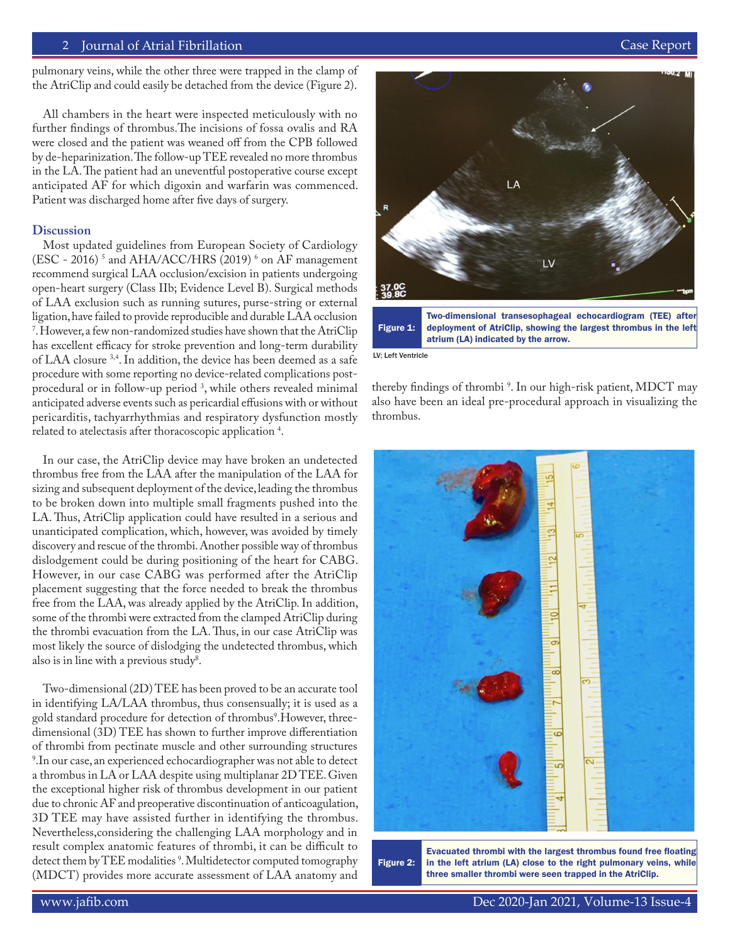### 2 Journal of Atrial Fibrillation Featured Review Case Report

All chambers in the heart were inspected meticulously with no further findings of thrombus.The incisions of fossa ovalis and RA were closed and the patient was weaned off from the CPB followed by de-heparinization. The follow-up TEE revealed no more thrombus in the LA. The patient had an uneventful postoperative course except anticipated AF for which digoxin and warfarin was commenced. Patient was discharged home after five days of surgery.

### **Discussion**

Most updated guidelines from European Society of Cardiology (ESC - 2016)<sup>5</sup> and AHA/ACC/HRS (2019)<sup>6</sup> on AF management recommend surgical LAA occlusion/excision in patients undergoing open-heart surgery (Class IIb; Evidence Level B). Surgical methods of LAA exclusion such as running sutures, purse-string or external ligation, have failed to provide reproducible and durable LAA occlusion 7 . However, a few non-randomized studies have shown that the AtriClip has excellent efficacy for stroke prevention and long-term durability of LAA closure 3,4. In addition, the device has been deemed as a safe procedure with some reporting no device-related complications postprocedural or in follow-up period 3 , while others revealed minimal anticipated adverse events such as pericardial effusions with or without pericarditis, tachyarrhythmias and respiratory dysfunction mostly related to atelectasis after thoracoscopic application 4 .

In our case, the AtriClip device may have broken an undetected thrombus free from the LAA after the manipulation of the LAA for sizing and subsequent deployment of the device, leading the thrombus to be broken down into multiple small fragments pushed into the LA. Thus, AtriClip application could have resulted in a serious and unanticipated complication, which, however, was avoided by timely discovery and rescue of the thrombi. Another possible way of thrombus dislodgement could be during positioning of the heart for CABG. However, in our case CABG was performed after the AtriClip placement suggesting that the force needed to break the thrombus free from the LAA, was already applied by the AtriClip. In addition, some of the thrombi were extracted from the clamped AtriClip during the thrombi evacuation from the LA. Thus, in our case AtriClip was most likely the source of dislodging the undetected thrombus, which also is in line with a previous study $^8$ .

Two-dimensional (2D) TEE has been proved to be an accurate tool in identifying LA/LAA thrombus, thus consensually; it is used as a gold standard procedure for detection of thrombus<sup>9</sup>.However, threedimensional (3D) TEE has shown to further improve differentiation of thrombi from pectinate muscle and other surrounding structures 9 .In our case, an experienced echocardiographer was not able to detect a thrombus in LA or LAA despite using multiplanar 2D TEE. Given the exceptional higher risk of thrombus development in our patient due to chronic AF and preoperative discontinuation of anticoagulation, 3D TEE may have assisted further in identifying the thrombus. Nevertheless,considering the challenging LAA morphology and in result complex anatomic features of thrombi, it can be difficult to detect them by TEE modalities 9 . Multidetector computed tomography (MDCT) provides more accurate assessment of LAA anatomy and



Figure 1: deployment of AtriClip, showing the largest thrombus in the left atrium (LA) indicated by the arrow.

LV; Left Ventricle

thereby findings of thrombi 9 . In our high-risk patient, MDCT may also have been an ideal pre-procedural approach in visualizing the thrombus.



Figure 2: Evacuated thrombi with the largest thrombus found free floating in the left atrium (LA) close to the right pulmonary veins, while three smaller thrombi were seen trapped in the AtriClip.